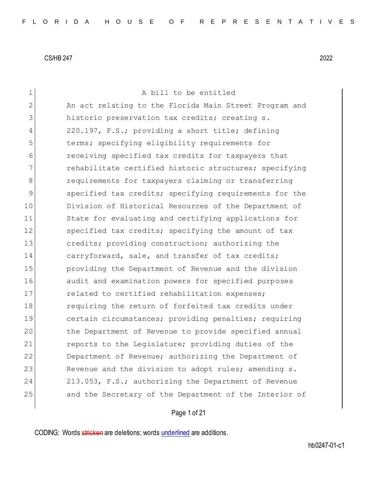| 1  | A bill to be entitled                                  |
|----|--------------------------------------------------------|
| 2  | An act relating to the Florida Main Street Program and |
| 3  | historic preservation tax credits; creating s.         |
| 4  | 220.197, F.S.; providing a short title; defining       |
| 5  | terms; specifying eligibility requirements for         |
| 6  | receiving specified tax credits for taxpayers that     |
| 7  | rehabilitate certified historic structures; specifying |
| 8  | requirements for taxpayers claiming or transferring    |
| 9  | specified tax credits; specifying requirements for the |
| 10 | Division of Historical Resources of the Department of  |
| 11 | State for evaluating and certifying applications for   |
| 12 | specified tax credits; specifying the amount of tax    |
| 13 | credits; providing construction; authorizing the       |
| 14 | carryforward, sale, and transfer of tax credits;       |
| 15 | providing the Department of Revenue and the division   |
| 16 | audit and examination powers for specified purposes    |
| 17 | related to certified rehabilitation expenses;          |
| 18 | requiring the return of forfeited tax credits under    |
| 19 | certain circumstances; providing penalties; requiring  |
| 20 | the Department of Revenue to provide specified annual  |
| 21 | reports to the Legislature; providing duties of the    |
| 22 | Department of Revenue; authorizing the Department of   |
| 23 | Revenue and the division to adopt rules; amending s.   |
| 24 | 213.053, F.S.; authorizing the Department of Revenue   |
| 25 | and the Secretary of the Department of the Interior of |
|    |                                                        |

# Page 1 of 21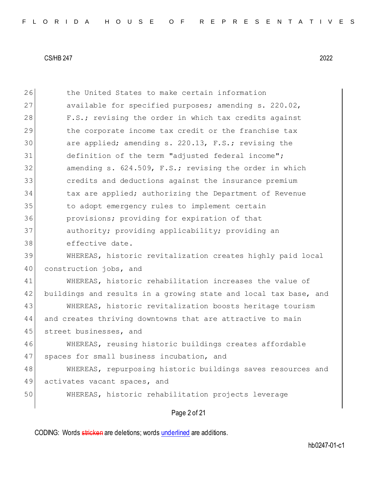| 48 | WHEREAS, repurposing historic buildings saves resources and      |
|----|------------------------------------------------------------------|
| 47 | spaces for small business incubation, and                        |
| 46 | WHEREAS, reusing historic buildings creates affordable           |
| 45 | street businesses, and                                           |
| 44 | and creates thriving downtowns that are attractive to main       |
| 43 | WHEREAS, historic revitalization boosts heritage tourism         |
| 42 | buildings and results in a growing state and local tax base, and |
| 41 | WHEREAS, historic rehabilitation increases the value of          |
| 40 | construction jobs, and                                           |
| 39 | WHEREAS, historic revitalization creates highly paid local       |
| 38 | effective date.                                                  |
| 37 | authority; providing applicability; providing an                 |
| 36 | provisions; providing for expiration of that                     |
| 35 | to adopt emergency rules to implement certain                    |
| 34 | tax are applied; authorizing the Department of Revenue           |
| 33 | credits and deductions against the insurance premium             |
| 32 | amending s. 624.509, F.S.; revising the order in which           |
| 31 | definition of the term "adjusted federal income";                |
| 30 | are applied; amending s. 220.13, F.S.; revising the              |
| 29 | the corporate income tax credit or the franchise tax             |
| 28 | F.S.; revising the order in which tax credits against            |
| 27 | available for specified purposes; amending s. 220.02,            |
| 26 | the United States to make certain information                    |

CODING: Words stricken are deletions; words underlined are additions.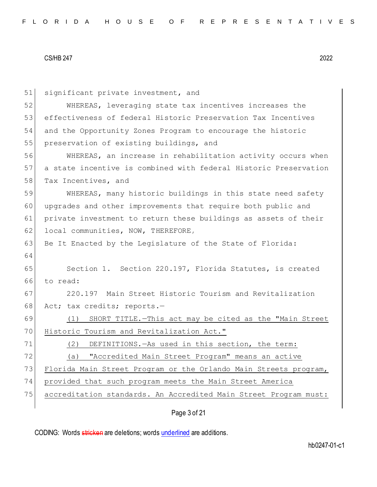| 51 | significant private investment, and                              |
|----|------------------------------------------------------------------|
| 52 | WHEREAS, leveraging state tax incentives increases the           |
| 53 | effectiveness of federal Historic Preservation Tax Incentives    |
| 54 | and the Opportunity Zones Program to encourage the historic      |
| 55 | preservation of existing buildings, and                          |
| 56 | WHEREAS, an increase in rehabilitation activity occurs when      |
| 57 | a state incentive is combined with federal Historic Preservation |
| 58 | Tax Incentives, and                                              |
| 59 | WHEREAS, many historic buildings in this state need safety       |
| 60 | upgrades and other improvements that require both public and     |
| 61 | private investment to return these buildings as assets of their  |
| 62 | local communities, NOW, THEREFORE,                               |
| 63 | Be It Enacted by the Legislature of the State of Florida:        |
| 64 |                                                                  |
| 65 | Section 1. Section 220.197, Florida Statutes, is created         |
| 66 | to read:                                                         |
| 67 | 220.197 Main Street Historic Tourism and Revitalization          |
| 68 | Act; tax credits; reports.-                                      |
| 69 | SHORT TITLE. - This act may be cited as the "Main Street<br>(1)  |
| 70 | Historic Tourism and Revitalization Act."                        |
| 71 | DEFINITIONS. - As used in this section, the term:<br>(2)         |
| 72 | "Accredited Main Street Program" means an active<br>(a)          |
| 73 | Florida Main Street Program or the Orlando Main Streets program, |
| 74 | provided that such program meets the Main Street America         |
| 75 | accreditation standards. An Accredited Main Street Program must: |
|    | Page 3 of 21                                                     |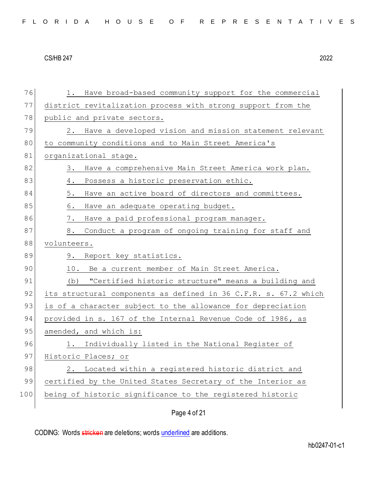| 76  | 1. Have broad-based community support for the commercial                                                                                                                                                                                                                                                                                                                                                                                                                                                                                                                                                                                                                                                                                                                                                                                                                                                                                                                                                                                                                                                        |  |  |  |  |  |  |
|-----|-----------------------------------------------------------------------------------------------------------------------------------------------------------------------------------------------------------------------------------------------------------------------------------------------------------------------------------------------------------------------------------------------------------------------------------------------------------------------------------------------------------------------------------------------------------------------------------------------------------------------------------------------------------------------------------------------------------------------------------------------------------------------------------------------------------------------------------------------------------------------------------------------------------------------------------------------------------------------------------------------------------------------------------------------------------------------------------------------------------------|--|--|--|--|--|--|
| 77  | district revitalization process with strong support from the                                                                                                                                                                                                                                                                                                                                                                                                                                                                                                                                                                                                                                                                                                                                                                                                                                                                                                                                                                                                                                                    |  |  |  |  |  |  |
| 78  | public and private sectors.<br>Have a developed vision and mission statement relevant<br>2.<br>to community conditions and to Main Street America's<br>organizational stage.<br>Have a comprehensive Main Street America work plan.<br>3.<br>Possess a historic preservation ethic.<br>4.<br>5.<br>Have an active board of directors and committees.<br>6.<br>Have an adequate operating budget.<br>7.<br>Have a paid professional program manager.<br>Conduct a program of ongoing training for staff and<br>8.<br>volunteers.<br>9. Report key statistics.<br>10. Be a current member of Main Street America.<br>"Certified historic structure" means a building and<br>(b)<br>its structural components as defined in 36 C.F.R. s. 67.2 which<br>is of a character subject to the allowance for depreciation<br>provided in s. 167 of the Internal Revenue Code of 1986, as<br>amended, and which is:<br>1. Individually listed in the National Register of<br>Historic Places; or<br>Located within a registered historic district and<br>2.<br>certified by the United States Secretary of the Interior as |  |  |  |  |  |  |
| 79  |                                                                                                                                                                                                                                                                                                                                                                                                                                                                                                                                                                                                                                                                                                                                                                                                                                                                                                                                                                                                                                                                                                                 |  |  |  |  |  |  |
| 80  |                                                                                                                                                                                                                                                                                                                                                                                                                                                                                                                                                                                                                                                                                                                                                                                                                                                                                                                                                                                                                                                                                                                 |  |  |  |  |  |  |
| 81  |                                                                                                                                                                                                                                                                                                                                                                                                                                                                                                                                                                                                                                                                                                                                                                                                                                                                                                                                                                                                                                                                                                                 |  |  |  |  |  |  |
| 82  |                                                                                                                                                                                                                                                                                                                                                                                                                                                                                                                                                                                                                                                                                                                                                                                                                                                                                                                                                                                                                                                                                                                 |  |  |  |  |  |  |
| 83  |                                                                                                                                                                                                                                                                                                                                                                                                                                                                                                                                                                                                                                                                                                                                                                                                                                                                                                                                                                                                                                                                                                                 |  |  |  |  |  |  |
| 84  |                                                                                                                                                                                                                                                                                                                                                                                                                                                                                                                                                                                                                                                                                                                                                                                                                                                                                                                                                                                                                                                                                                                 |  |  |  |  |  |  |
| 85  |                                                                                                                                                                                                                                                                                                                                                                                                                                                                                                                                                                                                                                                                                                                                                                                                                                                                                                                                                                                                                                                                                                                 |  |  |  |  |  |  |
| 86  |                                                                                                                                                                                                                                                                                                                                                                                                                                                                                                                                                                                                                                                                                                                                                                                                                                                                                                                                                                                                                                                                                                                 |  |  |  |  |  |  |
| 87  |                                                                                                                                                                                                                                                                                                                                                                                                                                                                                                                                                                                                                                                                                                                                                                                                                                                                                                                                                                                                                                                                                                                 |  |  |  |  |  |  |
| 88  | being of historic significance to the registered historic                                                                                                                                                                                                                                                                                                                                                                                                                                                                                                                                                                                                                                                                                                                                                                                                                                                                                                                                                                                                                                                       |  |  |  |  |  |  |
| 89  |                                                                                                                                                                                                                                                                                                                                                                                                                                                                                                                                                                                                                                                                                                                                                                                                                                                                                                                                                                                                                                                                                                                 |  |  |  |  |  |  |
| 90  |                                                                                                                                                                                                                                                                                                                                                                                                                                                                                                                                                                                                                                                                                                                                                                                                                                                                                                                                                                                                                                                                                                                 |  |  |  |  |  |  |
| 91  |                                                                                                                                                                                                                                                                                                                                                                                                                                                                                                                                                                                                                                                                                                                                                                                                                                                                                                                                                                                                                                                                                                                 |  |  |  |  |  |  |
| 92  |                                                                                                                                                                                                                                                                                                                                                                                                                                                                                                                                                                                                                                                                                                                                                                                                                                                                                                                                                                                                                                                                                                                 |  |  |  |  |  |  |
| 93  |                                                                                                                                                                                                                                                                                                                                                                                                                                                                                                                                                                                                                                                                                                                                                                                                                                                                                                                                                                                                                                                                                                                 |  |  |  |  |  |  |
| 94  |                                                                                                                                                                                                                                                                                                                                                                                                                                                                                                                                                                                                                                                                                                                                                                                                                                                                                                                                                                                                                                                                                                                 |  |  |  |  |  |  |
| 95  |                                                                                                                                                                                                                                                                                                                                                                                                                                                                                                                                                                                                                                                                                                                                                                                                                                                                                                                                                                                                                                                                                                                 |  |  |  |  |  |  |
| 96  |                                                                                                                                                                                                                                                                                                                                                                                                                                                                                                                                                                                                                                                                                                                                                                                                                                                                                                                                                                                                                                                                                                                 |  |  |  |  |  |  |
| 97  |                                                                                                                                                                                                                                                                                                                                                                                                                                                                                                                                                                                                                                                                                                                                                                                                                                                                                                                                                                                                                                                                                                                 |  |  |  |  |  |  |
| 98  |                                                                                                                                                                                                                                                                                                                                                                                                                                                                                                                                                                                                                                                                                                                                                                                                                                                                                                                                                                                                                                                                                                                 |  |  |  |  |  |  |
| 99  |                                                                                                                                                                                                                                                                                                                                                                                                                                                                                                                                                                                                                                                                                                                                                                                                                                                                                                                                                                                                                                                                                                                 |  |  |  |  |  |  |
| 100 |                                                                                                                                                                                                                                                                                                                                                                                                                                                                                                                                                                                                                                                                                                                                                                                                                                                                                                                                                                                                                                                                                                                 |  |  |  |  |  |  |
|     |                                                                                                                                                                                                                                                                                                                                                                                                                                                                                                                                                                                                                                                                                                                                                                                                                                                                                                                                                                                                                                                                                                                 |  |  |  |  |  |  |

Page 4 of 21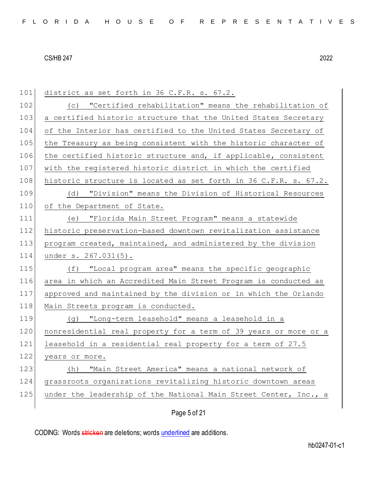| 101 | district as set forth in 36 C.F.R. s. 67.2.                      |
|-----|------------------------------------------------------------------|
| 102 | (c) "Certified rehabilitation" means the rehabilitation of       |
| 103 | a certified historic structure that the United States Secretary  |
| 104 | of the Interior has certified to the United States Secretary of  |
| 105 | the Treasury as being consistent with the historic character of  |
| 106 | the certified historic structure and, if applicable, consistent  |
| 107 | with the registered historic district in which the certified     |
| 108 | historic structure is located as set forth in 36 C.F.R. s. 67.2. |
| 109 | (d) "Division" means the Division of Historical Resources        |
| 110 | of the Department of State.                                      |
| 111 | (e) "Florida Main Street Program" means a statewide              |
| 112 | historic preservation-based downtown revitalization assistance   |
| 113 | program created, maintained, and administered by the division    |
|     |                                                                  |
| 114 | under s. 267.031(5).                                             |
| 115 | (f) "Local program area" means the specific geographic           |
| 116 | area in which an Accredited Main Street Program is conducted as  |
| 117 | approved and maintained by the division or in which the Orlando  |
| 118 | Main Streets program is conducted.                               |
| 119 | (g) "Long-term leasehold" means a leasehold in a                 |
| 120 | nonresidential real property for a term of 39 years or more or a |
| 121 | leasehold in a residential real property for a term of 27.5      |
| 122 | years or more.                                                   |
| 123 | "Main Street America" means a national network of<br>(h)         |
| 124 | grassroots organizations revitalizing historic downtown areas    |
| 125 | under the leadership of the National Main Street Center, Inc., a |

# Page 5 of 21

CODING: Words stricken are deletions; words underlined are additions.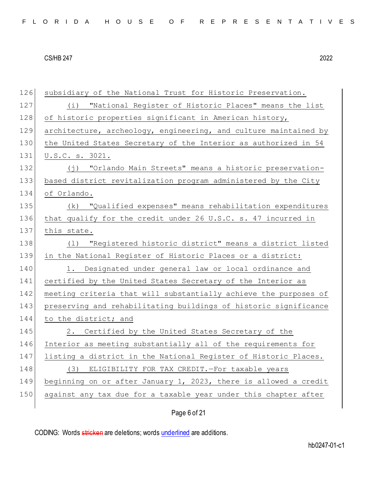| 126 | subsidiary of the National Trust for Historic Preservation.      |
|-----|------------------------------------------------------------------|
| 127 | "National Register of Historic Places" means the list<br>(i)     |
| 128 | of historic properties significant in American history,          |
| 129 | architecture, archeology, engineering, and culture maintained by |
| 130 | the United States Secretary of the Interior as authorized in 54  |
| 131 | U.S.C. s. 3021.                                                  |
| 132 | (j) "Orlando Main Streets" means a historic preservation-        |
| 133 | based district revitalization program administered by the City   |
| 134 | of Orlando.                                                      |
| 135 | (k) "Qualified expenses" means rehabilitation expenditures       |
| 136 | that qualify for the credit under 26 U.S.C. s. 47 incurred in    |
| 137 | this state.                                                      |
| 138 | (1) "Registered historic district" means a district listed       |
| 139 | in the National Register of Historic Places or a district:       |
| 140 | 1. Designated under general law or local ordinance and           |
| 141 | certified by the United States Secretary of the Interior as      |
| 142 | meeting criteria that will substantially achieve the purposes of |
| 143 | preserving and rehabilitating buildings of historic significance |
| 144 | to the district; and                                             |
| 145 | 2. Certified by the United States Secretary of the               |
| 146 | Interior as meeting substantially all of the requirements for    |
| 147 | listing a district in the National Register of Historic Places.  |
| 148 | (3) ELIGIBILITY FOR TAX CREDIT. - For taxable years              |
| 149 | beginning on or after January 1, 2023, there is allowed a credit |
| 150 |                                                                  |
|     | against any tax due for a taxable year under this chapter after  |

Page 6 of 21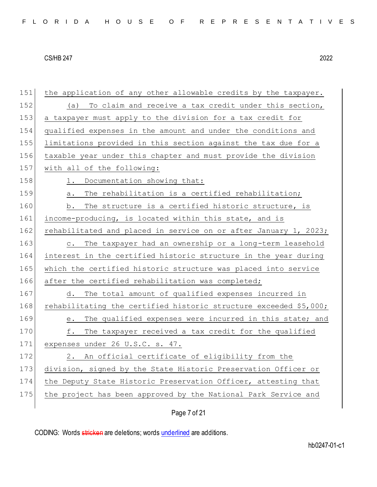| 151 | the application of any other allowable credits by the taxpayer.     |
|-----|---------------------------------------------------------------------|
| 152 | To claim and receive a tax credit under this section,<br>(a)        |
| 153 | a taxpayer must apply to the division for a tax credit for          |
| 154 | qualified expenses in the amount and under the conditions and       |
| 155 | limitations provided in this section against the tax due for a      |
| 156 | taxable year under this chapter and must provide the division       |
| 157 | with all of the following:                                          |
| 158 | Documentation showing that:<br>1.                                   |
| 159 | The rehabilitation is a certified rehabilitation;<br>$a$ .          |
| 160 | The structure is a certified historic structure, is<br>b.           |
| 161 | income-producing, is located within this state, and is              |
| 162 | rehabilitated and placed in service on or after January 1, 2023;    |
| 163 | The taxpayer had an ownership or a long-term leasehold<br>$\circ$ . |
| 164 | interest in the certified historic structure in the year during     |
| 165 | which the certified historic structure was placed into service      |
| 166 | after the certified rehabilitation was completed;                   |
| 167 | The total amount of qualified expenses incurred in<br>d.            |
| 168 | rehabilitating the certified historic structure exceeded \$5,000;   |
| 169 | The qualified expenses were incurred in this state; and<br>е.       |
| 170 | The taxpayer received a tax credit for the qualified<br>f.          |
| 171 | expenses under 26 U.S.C. s. 47.                                     |
| 172 | 2. An official certificate of eligibility from the                  |
| 173 | division, signed by the State Historic Preservation Officer or      |
| 174 | the Deputy State Historic Preservation Officer, attesting that      |
| 175 | the project has been approved by the National Park Service and      |
|     |                                                                     |

# Page 7 of 21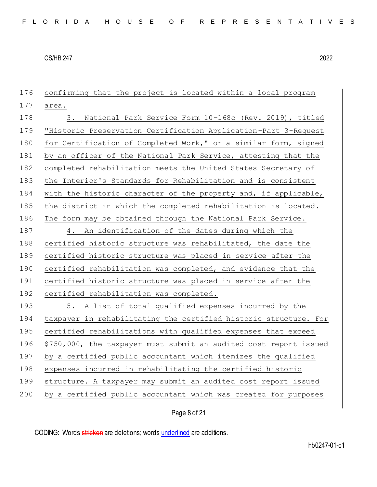176 confirming that the project is located within a local program 177 area. 178 3. National Park Service Form 10-168c (Rev. 2019), titled 179 "Historic Preservation Certification Application-Part 3-Request 180 for Certification of Completed Work," or a similar form, signed 181 by an officer of the National Park Service, attesting that the 182 completed rehabilitation meets the United States Secretary of 183 the Interior's Standards for Rehabilitation and is consistent 184 with the historic character of the property and, if applicable, 185 the district in which the completed rehabilitation is located. 186 The form may be obtained through the National Park Service. 187 4. An identification of the dates during which the 188 certified historic structure was rehabilitated, the date the 189 certified historic structure was placed in service after the 190 certified rehabilitation was completed, and evidence that the 191 certified historic structure was placed in service after the 192 certified rehabilitation was completed. 193 5. A list of total qualified expenses incurred by the 194 taxpayer in rehabilitating the certified historic structure. For 195 certified rehabilitations with qualified expenses that exceed 196 \$750,000, the taxpayer must submit an audited cost report issued 197 by a certified public accountant which itemizes the qualified 198 expenses incurred in rehabilitating the certified historic 199 structure. A taxpayer may submit an audited cost report issued 200 by a certified public accountant which was created for purposes

Page 8 of 21

CODING: Words stricken are deletions; words underlined are additions.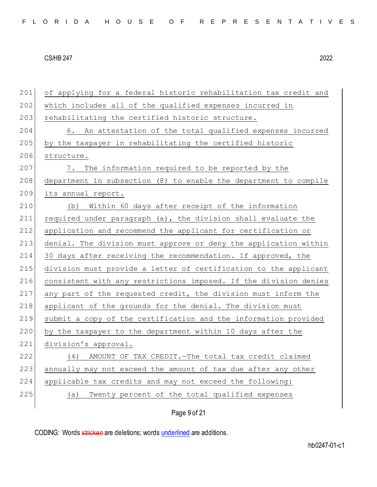201 of applying for a federal historic rehabilitation tax credit and 202 which includes all of the qualified expenses incurred in 203 rehabilitating the certified historic structure. 204 6. An attestation of the total qualified expenses incurred 205 by the taxpayer in rehabilitating the certified historic 206 structure. 207 7. The information required to be reported by the 208 department in subsection (8) to enable the department to compile 209 its annual report. 210 (b) Within 60 days after receipt of the information 211 required under paragraph (a), the division shall evaluate the 212 application and recommend the applicant for certification or 213 denial. The division must approve or deny the application within 214 30 days after receiving the recommendation. If approved, the 215 division must provide a letter of certification to the applicant 216 consistent with any restrictions imposed. If the division denies 217 any part of the requested credit, the division must inform the 218 applicant of the grounds for the denial. The division must 219 submit a copy of the certification and the information provided 220 by the taxpayer to the department within 10 days after the 221 division's approval. 222 (4) AMOUNT OF TAX CREDIT.—The total tax credit claimed 223 annually may not exceed the amount of tax due after any other 224 applicable tax credits and may not exceed the following: 225 (a) Twenty percent of the total qualified expenses

Page 9 of 21

CODING: Words stricken are deletions; words underlined are additions.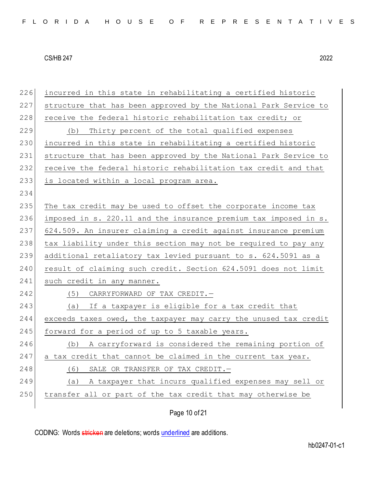| 226 | incurred in this state in rehabilitating a certified historic    |
|-----|------------------------------------------------------------------|
| 227 | structure that has been approved by the National Park Service to |
| 228 | receive the federal historic rehabilitation tax credit; or       |
| 229 | Thirty percent of the total qualified expenses<br>(b)            |
| 230 | incurred in this state in rehabilitating a certified historic    |
| 231 | structure that has been approved by the National Park Service to |
| 232 | receive the federal historic rehabilitation tax credit and that  |
| 233 | is located within a local program area.                          |
| 234 |                                                                  |
| 235 | The tax credit may be used to offset the corporate income tax    |
| 236 | imposed in s. 220.11 and the insurance premium tax imposed in s. |
| 237 | 624.509. An insurer claiming a credit against insurance premium  |
| 238 | tax liability under this section may not be required to pay any  |
| 239 | additional retaliatory tax levied pursuant to s. 624.5091 as a   |
| 240 | result of claiming such credit. Section 624.5091 does not limit  |
| 241 | such credit in any manner.                                       |
| 242 | (5)<br>CARRYFORWARD OF TAX CREDIT.-                              |
| 243 | If a taxpayer is eligible for a tax credit that<br>(a)           |
| 244 | exceeds taxes owed, the taxpayer may carry the unused tax credit |
| 245 | forward for a period of up to 5 taxable years.                   |
| 246 | A carryforward is considered the remaining portion of<br>(b)     |
| 247 | a tax credit that cannot be claimed in the current tax year.     |
| 248 | SALE OR TRANSFER OF TAX CREDIT.-<br>(6)                          |
| 249 | A taxpayer that incurs qualified expenses may sell or<br>(a)     |
| 250 | transfer all or part of the tax credit that may otherwise be     |
|     |                                                                  |

Page 10 of 21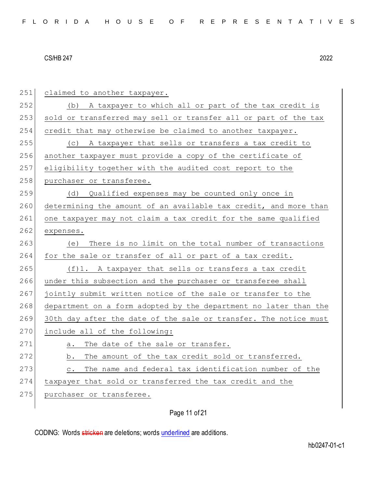| 251 | claimed to another taxpayer.                                       |
|-----|--------------------------------------------------------------------|
| 252 | (b) A taxpayer to which all or part of the tax credit is           |
| 253 | sold or transferred may sell or transfer all or part of the tax    |
| 254 | credit that may otherwise be claimed to another taxpayer.          |
| 255 | A taxpayer that sells or transfers a tax credit to<br>(C)          |
| 256 | another taxpayer must provide a copy of the certificate of         |
| 257 | eligibility together with the audited cost report to the           |
| 258 | purchaser or transferee.                                           |
| 259 | Qualified expenses may be counted only once in<br>(d)              |
| 260 | determining the amount of an available tax credit, and more than   |
| 261 | one taxpayer may not claim a tax credit for the same qualified     |
| 262 | expenses.                                                          |
| 263 | There is no limit on the total number of transactions<br>(e)       |
| 264 | for the sale or transfer of all or part of a tax credit.           |
| 265 | (f)1. A taxpayer that sells or transfers a tax credit              |
| 266 | under this subsection and the purchaser or transferee shall        |
| 267 | jointly submit written notice of the sale or transfer to the       |
| 268 | department on a form adopted by the department no later than the   |
| 269 | 30th day after the date of the sale or transfer. The notice must   |
| 270 | include all of the following:                                      |
| 271 | The date of the sale or transfer.<br>а.                            |
| 272 | The amount of the tax credit sold or transferred.<br>b.            |
| 273 | The name and federal tax identification number of the<br>$\circ$ . |
| 274 | taxpayer that sold or transferred the tax credit and the           |
| 275 | purchaser or transferee.                                           |
|     |                                                                    |

Page 11 of 21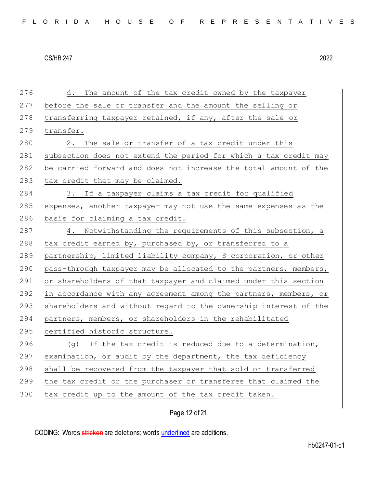| 276 | d. The amount of the tax credit owned by the taxpayer            |
|-----|------------------------------------------------------------------|
| 277 | before the sale or transfer and the amount the selling or        |
| 278 | transferring taxpayer retained, if any, after the sale or        |
| 279 | transfer.                                                        |
| 280 | The sale or transfer of a tax credit under this<br>2.            |
| 281 | subsection does not extend the period for which a tax credit may |
| 282 | be carried forward and does not increase the total amount of the |
| 283 | tax credit that may be claimed.                                  |
| 284 | 3. If a taxpayer claims a tax credit for qualified               |
| 285 | expenses, another taxpayer may not use the same expenses as the  |
| 286 | basis for claiming a tax credit.                                 |
| 287 | 4. Notwithstanding the requirements of this subsection, a        |
| 288 | tax credit earned by, purchased by, or transferred to a          |
| 289 | partnership, limited liability company, S corporation, or other  |
| 290 | pass-through taxpayer may be allocated to the partners, members, |
| 291 | or shareholders of that taxpayer and claimed under this section  |
| 292 | in accordance with any agreement among the partners, members, or |
| 293 | shareholders and without regard to the ownership interest of the |
| 294 | partners, members, or shareholders in the rehabilitated          |
| 295 | certified historic structure.                                    |
| 296 | (g) If the tax credit is reduced due to a determination,         |
| 297 | examination, or audit by the department, the tax deficiency      |
| 298 | shall be recovered from the taxpayer that sold or transferred    |
| 299 | the tax credit or the purchaser or transferee that claimed the   |
| 300 | tax credit up to the amount of the tax credit taken.             |
|     |                                                                  |

Page 12 of 21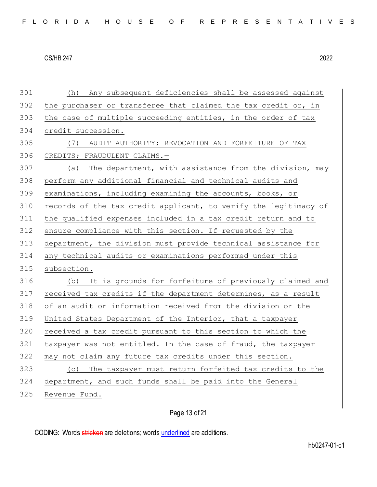(h) Any subsequent deficiencies shall be assessed against 302 the purchaser or transferee that claimed the tax credit or, in 303 the case of multiple succeeding entities, in the order of tax credit succession. (7) AUDIT AUTHORITY; REVOCATION AND FORFEITURE OF TAX CREDITS; FRAUDULENT CLAIMS.— (a) The department, with assistance from the division, may perform any additional financial and technical audits and examinations, including examining the accounts, books, or records of the tax credit applicant, to verify the legitimacy of the qualified expenses included in a tax credit return and to 312 ensure compliance with this section. If requested by the department, the division must provide technical assistance for any technical audits or examinations performed under this 315 subsection. 316 (b) It is grounds for forfeiture of previously claimed and 317 received tax credits if the department determines, as a result of an audit or information received from the division or the United States Department of the Interior, that a taxpayer 320 received a tax credit pursuant to this section to which the taxpayer was not entitled. In the case of fraud, the taxpayer 322 may not claim any future tax credits under this section. (c) The taxpayer must return forfeited tax credits to the department, and such funds shall be paid into the General Revenue Fund.

Page 13 of 21

CODING: Words stricken are deletions; words underlined are additions.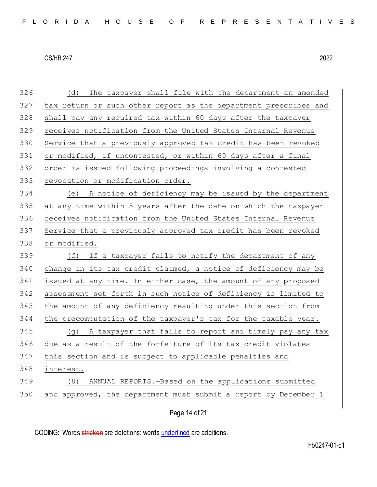(d) The taxpayer shall file with the department an amended 327 tax return or such other report as the department prescribes and 328 shall pay any required tax within 60 days after the taxpayer receives notification from the United States Internal Revenue Service that a previously approved tax credit has been revoked 331 or modified, if uncontested, or within 60 days after a final order is issued following proceedings involving a contested 333 revocation or modification order. (e) A notice of deficiency may be issued by the department at any time within 5 years after the date on which the taxpayer receives notification from the United States Internal Revenue Service that a previously approved tax credit has been revoked or modified. (f) If a taxpayer fails to notify the department of any 340 change in its tax credit claimed, a notice of deficiency may be issued at any time. In either case, the amount of any proposed assessment set forth in such notice of deficiency is limited to the amount of any deficiency resulting under this section from the precomputation of the taxpayer's tax for the taxable year. 345 (g) A taxpayer that fails to report and timely pay any tax due as a result of the forfeiture of its tax credit violates this section and is subject to applicable penalties and interest. (8) ANNUAL REPORTS.—Based on the applications submitted and approved, the department must submit a report by December 1

Page 14 of 21

CODING: Words stricken are deletions; words underlined are additions.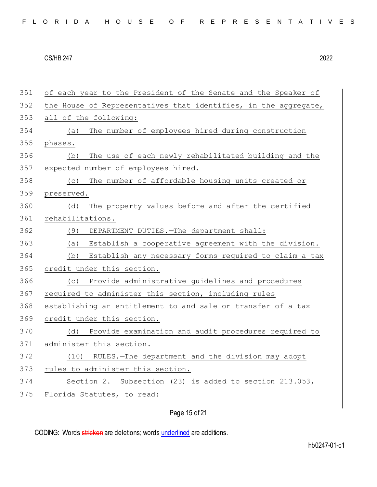| FLORIDA HOUSE OF REPRESENTATIVES |  |  |  |  |  |  |  |  |  |  |  |  |  |  |  |  |  |  |  |  |  |  |  |  |  |  |  |  |  |  |
|----------------------------------|--|--|--|--|--|--|--|--|--|--|--|--|--|--|--|--|--|--|--|--|--|--|--|--|--|--|--|--|--|--|
|----------------------------------|--|--|--|--|--|--|--|--|--|--|--|--|--|--|--|--|--|--|--|--|--|--|--|--|--|--|--|--|--|--|

## Page 15 of 21

CODING: Words stricken are deletions; words underlined are additions.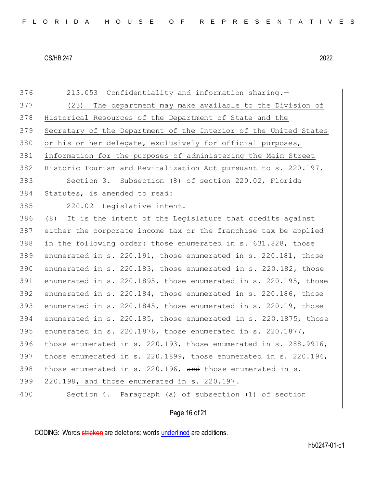376 213.053 Confidentiality and information sharing. (23) The department may make available to the Division of 378 Historical Resources of the Department of State and the Secretary of the Department of the Interior of the United States 380 or his or her delegate, exclusively for official purposes, information for the purposes of administering the Main Street Historic Tourism and Revitalization Act pursuant to s. 220.197. Section 3. Subsection (8) of section 220.02, Florida Statutes, is amended to read: 385 220.02 Legislative intent. (8) It is the intent of the Legislature that credits against either the corporate income tax or the franchise tax be applied in the following order: those enumerated in s. 631.828, those enumerated in s. 220.191, those enumerated in s. 220.181, those enumerated in s. 220.183, those enumerated in s. 220.182, those enumerated in s. 220.1895, those enumerated in s. 220.195, those enumerated in s. 220.184, those enumerated in s. 220.186, those 393 enumerated in s. 220.1845, those enumerated in s. 220.19, those enumerated in s. 220.185, those enumerated in s. 220.1875, those 395 enumerated in s. 220.1876, those enumerated in s. 220.1877, those enumerated in s. 220.193, those enumerated in s. 288.9916, 397 those enumerated in s. 220.1899, those enumerated in s. 220.194, those enumerated in s. 220.196, and those enumerated in s. 220.198, and those enumerated in s. 220.197. 400 Section 4. Paragraph (a) of subsection (1) of section

## Page 16 of 21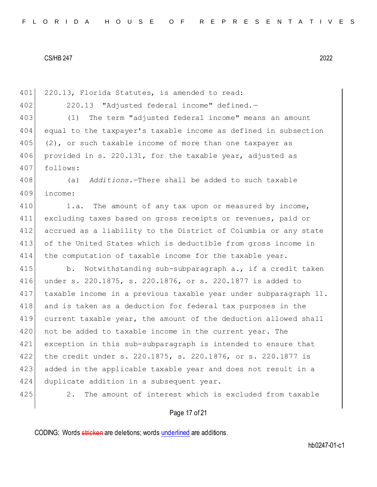401 220.13, Florida Statutes, is amended to read: 220.13 "Adjusted federal income" defined.— (1) The term "adjusted federal income" means an amount equal to the taxpayer's taxable income as defined in subsection (2), or such taxable income of more than one taxpayer as provided in s. 220.131, for the taxable year, adjusted as follows: (a) *Additions.*—There shall be added to such taxable income: 410 1.a. The amount of any tax upon or measured by income, excluding taxes based on gross receipts or revenues, paid or accrued as a liability to the District of Columbia or any state of the United States which is deductible from gross income in the computation of taxable income for the taxable year. 415 b. Notwithstanding sub-subparagraph a., if a credit taken under s. 220.1875, s. 220.1876, or s. 220.1877 is added to taxable income in a previous taxable year under subparagraph 11. and is taken as a deduction for federal tax purposes in the current taxable year, the amount of the deduction allowed shall 420 not be added to taxable income in the current year. The exception in this sub-subparagraph is intended to ensure that the credit under s. 220.1875, s. 220.1876, or s. 220.1877 is added in the applicable taxable year and does not result in a 424 duplicate addition in a subsequent year. 425 2. The amount of interest which is excluded from taxable

## Page 17 of 21

CODING: Words stricken are deletions; words underlined are additions.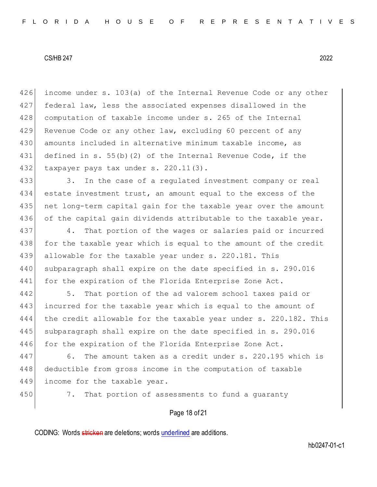426 income under s. 103(a) of the Internal Revenue Code or any other 427 federal law, less the associated expenses disallowed in the 428 computation of taxable income under s. 265 of the Internal 429 Revenue Code or any other law, excluding 60 percent of any 430 amounts included in alternative minimum taxable income, as 431 defined in s. 55(b)(2) of the Internal Revenue Code, if the 432 taxpayer pays tax under s. 220.11(3).

 3. In the case of a regulated investment company or real estate investment trust, an amount equal to the excess of the net long-term capital gain for the taxable year over the amount of the capital gain dividends attributable to the taxable year.

437 4. That portion of the wages or salaries paid or incurred 438 for the taxable year which is equal to the amount of the credit 439 allowable for the taxable year under s. 220.181. This 440 subparagraph shall expire on the date specified in s. 290.016 441 for the expiration of the Florida Enterprise Zone Act.

442 5. That portion of the ad valorem school taxes paid or 443 incurred for the taxable year which is equal to the amount of 444 the credit allowable for the taxable year under s. 220.182. This 445 subparagraph shall expire on the date specified in s. 290.016 446 for the expiration of the Florida Enterprise Zone Act.

447 6. The amount taken as a credit under s. 220.195 which is 448 deductible from gross income in the computation of taxable 449 income for the taxable year.

450 7. That portion of assessments to fund a quaranty

#### Page 18 of 21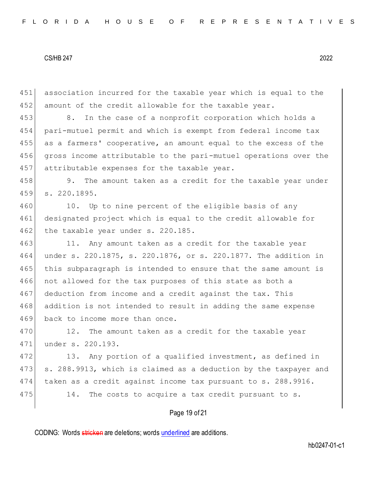451 association incurred for the taxable year which is equal to the 452 amount of the credit allowable for the taxable year.

453 8. In the case of a nonprofit corporation which holds a 454 pari-mutuel permit and which is exempt from federal income tax 455 as a farmers' cooperative, an amount equal to the excess of the 456 gross income attributable to the pari-mutuel operations over the 457 attributable expenses for the taxable year.

458 9. The amount taken as a credit for the taxable year under 459 s. 220.1895.

460 10. Up to nine percent of the eligible basis of any 461 designated project which is equal to the credit allowable for  $462$  the taxable year under s. 220.185.

463 11. Any amount taken as a credit for the taxable year 464 under s. 220.1875, s. 220.1876, or s. 220.1877. The addition in 465 this subparagraph is intended to ensure that the same amount is 466 not allowed for the tax purposes of this state as both a 467 deduction from income and a credit against the tax. This 468 addition is not intended to result in adding the same expense 469 back to income more than once.

470 12. The amount taken as a credit for the taxable year 471 under s. 220.193.

472 13. Any portion of a qualified investment, as defined in 473 s. 288.9913, which is claimed as a deduction by the taxpayer and 474 taken as a credit against income tax pursuant to s. 288.9916. 475 14. The costs to acquire a tax credit pursuant to s.

## Page 19 of 21

CODING: Words stricken are deletions; words underlined are additions.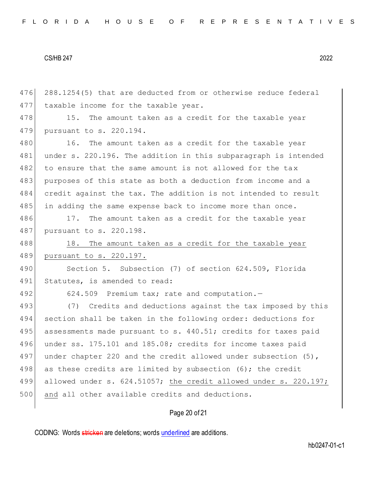476 288.1254(5) that are deducted from or otherwise reduce federal 477 taxable income for the taxable year. 478 15. The amount taken as a credit for the taxable year 479 pursuant to s. 220.194. 480 16. The amount taken as a credit for the taxable year 481 under s. 220.196. The addition in this subparagraph is intended 482 to ensure that the same amount is not allowed for the tax 483 purposes of this state as both a deduction from income and a 484 credit against the tax. The addition is not intended to result 485 in adding the same expense back to income more than once. 486 17. The amount taken as a credit for the taxable year 487 pursuant to s. 220.198. 488 18. The amount taken as a credit for the taxable year 489 pursuant to s. 220.197. 490 Section 5. Subsection (7) of section 624.509, Florida 491 Statutes, is amended to read: 492 624.509 Premium tax; rate and computation.-493 (7) Credits and deductions against the tax imposed by this 494 section shall be taken in the following order: deductions for 495 assessments made pursuant to s. 440.51; credits for taxes paid 496 under ss. 175.101 and 185.08; credits for income taxes paid 497 under chapter 220 and the credit allowed under subsection (5), 498 as these credits are limited by subsection (6); the credit 499 allowed under s. 624.51057; the credit allowed under s. 220.197; 500 and all other available credits and deductions.

# Page 20 of 21